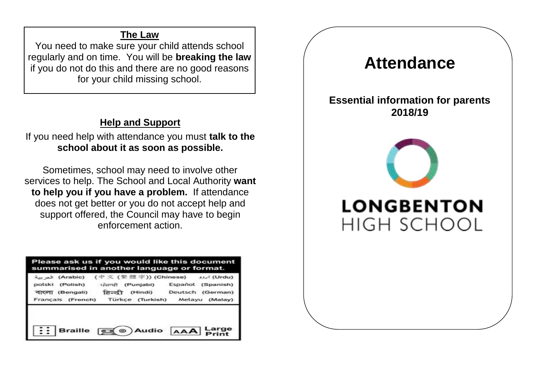# **The Law**

You need to make sure your child attends school regularly and on time. You will be **breaking the law**  if you do not do this and there are no good reasons for your child missing school.

### **Help and Support**

If you need help with attendance you must **talk to the school about it as soon as possible.**

Sometimes, school may need to involve other services to help. The School and Local Authority **want to help you if you have a problem.** If attendance does not get better or you do not accept help and support offered, the Council may have to begin enforcement action.

| Please ask us if you would like this document<br>summarised in another language or format. |                                                                                                                                                                 |                          |
|--------------------------------------------------------------------------------------------|-----------------------------------------------------------------------------------------------------------------------------------------------------------------|--------------------------|
| বাংলা (Bengali) हिन्दी                                                                     | (Urdu) اروو (中文 (紫 體 字)) (Chinese) اروو (Arabic)<br>polski (Polish) धुन्नाक्षी (Punjabi) Español (Spanish)<br>Français (French) Türkçe (Turkish) Melayu (Malay) | (Hindi) Deutsch (German) |
|                                                                                            | Braille (C) Audio AAA Large                                                                                                                                     |                          |